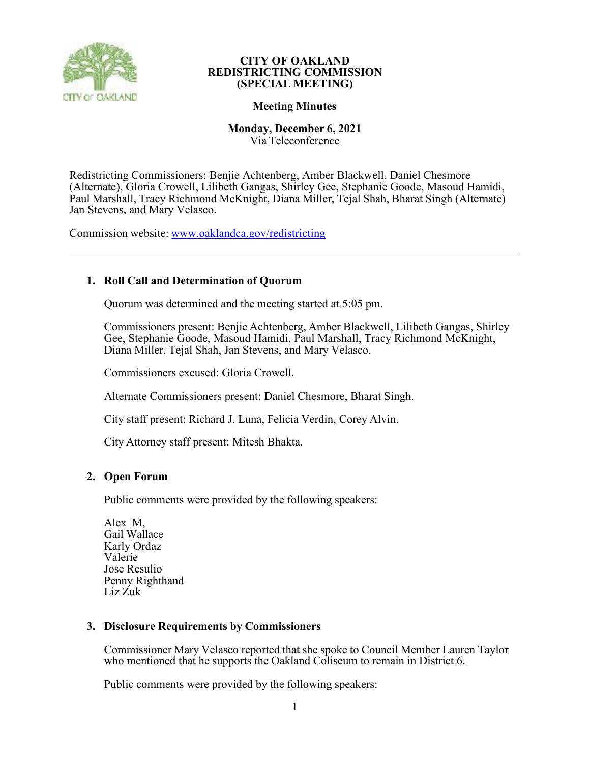

## **Meeting Minutes**

# **Monday, December 6, 2021**

Via Teleconference

Redistricting Commissioners: Benjie Achtenberg, Amber Blackwell, Daniel Chesmore (Alternate), Gloria Crowell, Lilibeth Gangas, Shirley Gee, Stephanie Goode, Masoud Hamidi, Paul Marshall, Tracy Richmond McKnight, Diana Miller, Tejal Shah, Bharat Singh (Alternate) Jan Stevens, and Mary Velasco.

Commission website: [www.oaklandca.gov/redistricting](http://www.oaklandca.gov/redistricting)

# **1. Roll Call and Determination of Quorum**

Quorum was determined and the meeting started at 5:05 pm.

Commissioners present: Benjie Achtenberg, Amber Blackwell, Lilibeth Gangas, Shirley Gee, Stephanie Goode, Masoud Hamidi, Paul Marshall, Tracy Richmond McKnight, Diana Miller, Tejal Shah, Jan Stevens, and Mary Velasco.

Commissioners excused: Gloria Crowell.

Alternate Commissioners present: Daniel Chesmore, Bharat Singh.

City staff present: Richard J. Luna, Felicia Verdin, Corey Alvin.

City Attorney staff present: Mitesh Bhakta.

## **2. Open Forum**

Public comments were provided by the following speakers:

Alex M, Gail Wallace Karly Ordaz Valerie Jose Resulio Penny Righthand Liz Zuk

## **3. Disclosure Requirements by Commissioners**

Commissioner Mary Velasco reported that she spoke to Council Member Lauren Taylor who mentioned that he supports the Oakland Coliseum to remain in District 6.

Public comments were provided by the following speakers: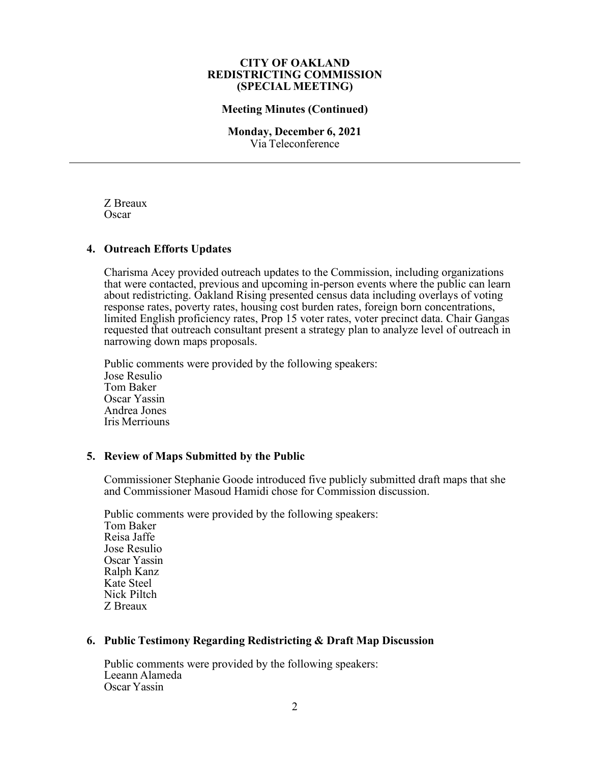#### **Meeting Minutes (Continued)**

#### **Monday, December 6, 2021** Via Teleconference

Z Breaux Oscar

## **4. Outreach Efforts Updates**

Charisma Acey provided outreach updates to the Commission, including organizations that were contacted, previous and upcoming in-person events where the public can learn about redistricting. Oakland Rising presented census data including overlays of voting response rates, poverty rates, housing cost burden rates, foreign born concentrations, limited English proficiency rates, Prop 15 voter rates, voter precinct data. Chair Gangas requested that outreach consultant present a strategy plan to analyze level of outreach in narrowing down maps proposals.

Public comments were provided by the following speakers: Jose Resulio Tom Baker Oscar Yassin Andrea Jones Iris Merriouns

## **5. Review of Maps Submitted by the Public**

Commissioner Stephanie Goode introduced five publicly submitted draft maps that she and Commissioner Masoud Hamidi chose for Commission discussion.

Public comments were provided by the following speakers: Tom Baker Reisa Jaffe Jose Resulio Oscar Yassin Ralph Kanz Kate Steel Nick Piltch Z Breaux

## **6. Public Testimony Regarding Redistricting & Draft Map Discussion**

Public comments were provided by the following speakers: Leeann Alameda Oscar Yassin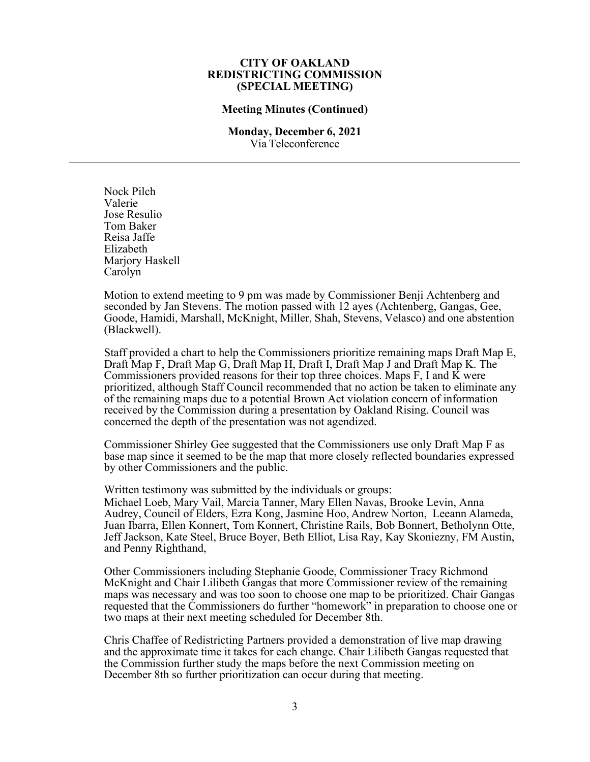#### **Meeting Minutes (Continued)**

#### **Monday, December 6, 2021** Via Teleconference

Nock Pilch Valerie Jose Resulio Tom Baker Reisa Jaffe Elizabeth Marjory Haskell Carolyn

Motion to extend meeting to 9 pm was made by Commissioner Benji Achtenberg and seconded by Jan Stevens. The motion passed with 12 ayes (Achtenberg, Gangas, Gee, Goode, Hamidi, Marshall, McKnight, Miller, Shah, Stevens, Velasco) and one abstention (Blackwell).

Staff provided a chart to help the Commissioners prioritize remaining maps Draft Map E, Draft Map F, Draft Map G, Draft Map H, Draft I, Draft Map J and Draft Map K. The Commissioners provided reasons for their top three choices. Maps F, I and K were prioritized, although Staff Council recommended that no action be taken to eliminate any of the remaining maps due to a potential Brown Act violation concern of information received by the Commission during a presentation by Oakland Rising. Council was concerned the depth of the presentation was not agendized.

Commissioner Shirley Gee suggested that the Commissioners use only Draft Map F as base map since it seemed to be the map that more closely reflected boundaries expressed by other Commissioners and the public.

Written testimony was submitted by the individuals or groups:

Michael Loeb, Mary Vail, Marcia Tanner, Mary Ellen Navas, Brooke Levin, Anna Audrey, Council of Elders, Ezra Kong, Jasmine Hoo, Andrew Norton, Leeann Alameda, Juan Ibarra, Ellen Konnert, Tom Konnert, Christine Rails, Bob Bonnert, Betholynn Otte, Jeff Jackson, Kate Steel, Bruce Boyer, Beth Elliot, Lisa Ray, Kay Skoniezny, FM Austin, and Penny Righthand,

Other Commissioners including Stephanie Goode, Commissioner Tracy Richmond McKnight and Chair Lilibeth Gangas that more Commissioner review of the remaining maps was necessary and was too soon to choose one map to be prioritized. Chair Gangas requested that the Commissioners do further "homework" in preparation to choose one or two maps at their next meeting scheduled for December 8th.

Chris Chaffee of Redistricting Partners provided a demonstration of live map drawing and the approximate time it takes for each change. Chair Lilibeth Gangas requested that the Commission further study the maps before the next Commission meeting on December 8th so further prioritization can occur during that meeting.